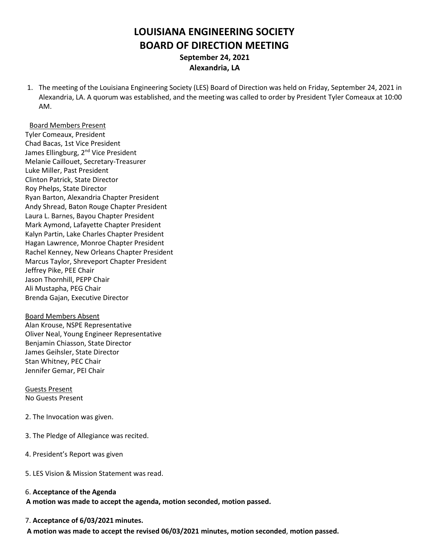# **LOUISIANA ENGINEERING SOCIETY BOARD OF DIRECTION MEETING September 24, 2021 Alexandria, LA**

1. The meeting of the Louisiana Engineering Society (LES) Board of Direction was held on Friday, September 24, 2021 in Alexandria, LA. A quorum was established, and the meeting was called to order by President Tyler Comeaux at 10:00 AM.

#### Board Members Present

Tyler Comeaux, President Chad Bacas, 1st Vice President James Ellingburg, 2<sup>nd</sup> Vice President Melanie Caillouet, Secretary-Treasurer Luke Miller, Past President Clinton Patrick, State Director Roy Phelps, State Director Ryan Barton, Alexandria Chapter President Andy Shread, Baton Rouge Chapter President Laura L. Barnes, Bayou Chapter President Mark Aymond, Lafayette Chapter President Kalyn Partin, Lake Charles Chapter President Hagan Lawrence, Monroe Chapter President Rachel Kenney, New Orleans Chapter President Marcus Taylor, Shreveport Chapter President Jeffrey Pike, PEE Chair Jason Thornhill, PEPP Chair Ali Mustapha, PEG Chair Brenda Gajan, Executive Director

Board Members Absent Alan Krouse, NSPE Representative Oliver Neal, Young Engineer Representative Benjamin Chiasson, State Director James Geihsler, State Director Stan Whitney, PEC Chair Jennifer Gemar, PEI Chair

Guests Present No Guests Present

- 2. The Invocation was given.
- 3. The Pledge of Allegiance was recited.
- 4. President's Report was given
- 5. LES Vision & Mission Statement was read.

#### 6. **Acceptance of the Agenda**

**A motion was made to accept the agenda, motion seconded, motion passed.**

#### 7. **Acceptance of 6/03/2021 minutes.**

 **A motion was made to accept the revised 06/03/2021 minutes, motion seconded**, **motion passed.**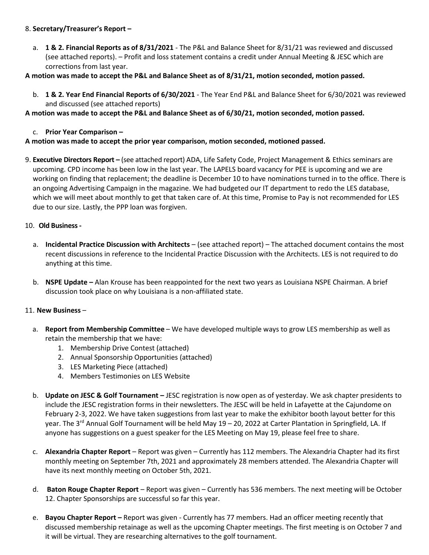# 8. **Secretary/Treasurer's Report –**

a. **1 & 2. Financial Reports as of 8/31/2021** - The P&L and Balance Sheet for 8/31/21 was reviewed and discussed (see attached reports). – Profit and loss statement contains a credit under Annual Meeting & JESC which are corrections from last year.

# **A motion was made to accept the P&L and Balance Sheet as of 8/31/21, motion seconded, motion passed.**

b. **1 & 2. Year End Financial Reports of 6/30/2021** - The Year End P&L and Balance Sheet for 6/30/2021 was reviewed and discussed (see attached reports)

## **A motion was made to accept the P&L and Balance Sheet as of 6/30/21, motion seconded, motion passed.**

c. **Prior Year Comparison –**

# **A motion was made to accept the prior year comparison, motion seconded, motioned passed.**

9. **Executive Directors Report –** (see attached report) ADA, Life Safety Code, Project Management & Ethics seminars are upcoming. CPD income has been low in the last year. The LAPELS board vacancy for PEE is upcoming and we are working on finding that replacement; the deadline is December 10 to have nominations turned in to the office. There is an ongoing Advertising Campaign in the magazine. We had budgeted our IT department to redo the LES database, which we will meet about monthly to get that taken care of. At this time, Promise to Pay is not recommended for LES due to our size. Lastly, the PPP loan was forgiven.

# 10. **Old Business-**

- a. **Incidental Practice Discussion with Architects** (see attached report) The attached document contains the most recent discussions in reference to the Incidental Practice Discussion with the Architects. LES is not required to do anything at this time.
- b. **NSPE Update –** Alan Krouse has been reappointed for the next two years as Louisiana NSPE Chairman. A brief discussion took place on why Louisiana is a non-affiliated state.

## 11. **New Business** –

- a. **Report from Membership Committee** We have developed multiple ways to grow LES membership as well as retain the membership that we have:
	- 1. Membership Drive Contest (attached)
	- 2. Annual Sponsorship Opportunities (attached)
	- 3. LES Marketing Piece (attached)
	- 4. Members Testimonies on LES Website
- b. **Update on JESC & Golf Tournament –** JESC registration is now open as of yesterday. We ask chapter presidents to include the JESC registration forms in their newsletters. The JESC will be held in Lafayette at the Cajundome on February 2-3, 2022. We have taken suggestions from last year to make the exhibitor booth layout better for this year. The 3<sup>rd</sup> Annual Golf Tournament will be held May 19 – 20, 2022 at Carter Plantation in Springfield, LA. If anyone has suggestions on a guest speaker for the LES Meeting on May 19, please feel free to share.
- c. **Alexandria Chapter Report** Report was given Currently has 112 members. The Alexandria Chapter had its first monthly meeting on September 7th, 2021 and approximately 28 members attended. The Alexandria Chapter will have its next monthly meeting on October 5th, 2021.
- d. **Baton Rouge Chapter Report** Report was given Currently has 536 members. The next meeting will be October 12. Chapter Sponsorships are successful so far this year.
- e. **Bayou Chapter Report –** Report was given Currently has 77 members. Had an officer meeting recently that discussed membership retainage as well as the upcoming Chapter meetings. The first meeting is on October 7 and it will be virtual. They are researching alternatives to the golf tournament.